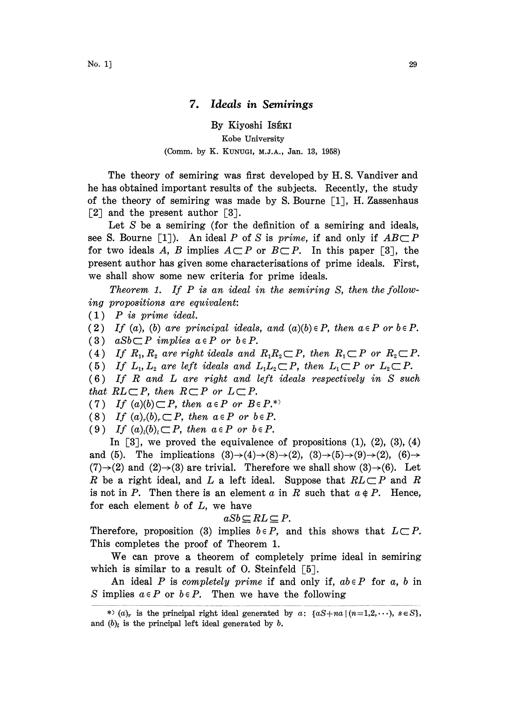## 7. Ideals in Semirings

## By Kiyoshi ISÉKI Kobe University (Comm. by K. KUNUGI, M.J.A., Jan. 13, 1958)

The theory of semiring was first developed by H. S. Vandiver and he has obtained important results of the subjects. Recently, the study of the theory of semiring was made by S. Bourne  $\lceil 1 \rceil$ , H. Zassenhaus  $\lceil 2 \rceil$  and the present author  $\lceil 3 \rceil$ .

Let  $S$  be a semiring (for the definition of a semiring and ideals, see S. Bourne [1]). An ideal P of S is prime, if and only if  $AB \subseteq P$ <br>for two ideals A, B implies  $A \subseteq P$  or  $B \subseteq P$ . In this paper [3], the present author has given some characterisations of prime ideals. First, we shall show some new criteria for prime ideals.

Theorem 1. If  $P$  is an ideal in the semiring  $S$ , then the following propositions are equivalent:

(1) P is prime ideal.

- (2) If (a), (b) are principal ideals, and  $(a)(b) \in P$ , then  $a \in P$  or  $b \in P$ .
- (3) a $Sb\subset P$  implies  $a\in P$  or  $b\in P$ .
- (4) If  $R_1, R_2$  are right ideals and  $R_1R_2 \subset P$ , then  $R_1 \subset P$  or  $R_2 \subset P$ .
- (5) If  $L_1, L_2$  are left ideals and  $L_1L_2 \subset P$ , then  $L_1 \subset P$  or  $L_2 \subset P$ .
- (6) If R and L are right and left ideals respectively in S such that  $RL\subset P$ , then  $R\subset P$  or  $L\subset P$ .
- (7) If  $(a)(b) \subset P$ , then  $a \in P$  or  $B \in P$ .\*
- (8) If  $(a)_r(b)_r \subset P$ , then  $a \in P$  or  $b \in P$ .
- (9) If  $(a)_{i}(b)_{i} \subset P$ , then  $a \in P$  or  $b \in P$ .

In  $\lceil 3 \rceil$ , we proved the equivalence of propositions (1), (2), (3), (4) and (5). The implications  $(3) \rightarrow (4) \rightarrow (8) \rightarrow (2)$ ,  $(3) \rightarrow (5) \rightarrow (9) \rightarrow (2)$ ,  $(6) \rightarrow$  $(7) \rightarrow (2)$  and  $(2) \rightarrow (3)$  are trivial. Therefore we shall show  $(3) \rightarrow (6)$ . Let R be a right ideal, and L a left ideal. Suppose that  $RL\subset P$  and R is not in P. Then there is an element a in R such that  $a \notin P$ . Hence, for each element  $b$  of  $L$ , we have

$$
aSb\subseteq RL\subseteq P.
$$

Therefore, proposition (3) implies  $b \in P$ , and this shows that  $L \subset P$ . This completes the proof of Theorem 1.

We can prove <sup>a</sup> theorem of completely prime ideal in semiring which is similar to a result of O. Steinfeld  $\lceil 5 \rceil$ .

An ideal P is completely prime if and only if,  $ab \in P$  for a, b in S implies  $a \in P$  or  $b \in P$ . Then we have the following

<sup>\*) (</sup>a)<sub>r</sub> is the principal right ideal generated by a: { $aS+na$  |( $n=1,2,\cdots$ ),  $s \in S$ }, and  $(b)_l$  is the principal left ideal generated by b.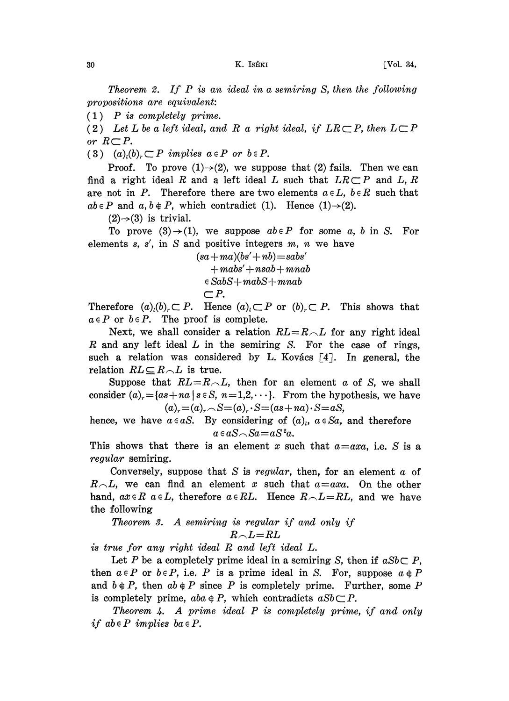Theorem 2. If P is an ideal in <sup>a</sup> semiring S, then the following propositions are equivalent:

 $(1)$  P is completely prime.

(2) Let L be a left ideal, and R a right ideal, if  $LR \subset P$ , then  $L \subset P$ or  $R\subset P$ .

(3)  $(a)_i(b)_r \subset P$  implies  $a \in P$  or  $b \in P$ .

Proof. To prove  $(1) \rightarrow (2)$ , we suppose that  $(2)$  fails. Then we can find a right ideal R and a left ideal L such that  $LR \subset P$  and L, R are not in P. Therefore there are two elements  $a \in L$ ,  $b \in R$  such that  $ab \in P$  and  $a, b \notin P$ , which contradict (1). Hence (1) $\rightarrow$ (2).

 $(2) \rightarrow (3)$  is trivial.

To prove  $(3) \rightarrow (1)$ , we suppose  $ab \in P$  for some a, b in S. For elements  $s, s'$ , in S and positive integers  $m, n$  we have

> $(sa+ma)(bs'+nb)=sabs'$  $+mabs'+nsab+mnab$ <br> $\in$ SabS $+mab$ S $+mnab$  $\subset P$ .

 $\in$  SabS+mabS+mnab<br>  $\subset P$ .<br>
Therefore  $(a)_i(b)_r \subset P$ . Hence  $(a)_i \subset P$  or  $(b)_r \subset P$ . This shows that  $a \in P$  or  $b \in P$ . The proof is complete.

Next, we shall consider a relation  $RL=R\setminus L$  for any right ideal  $R$  and any left ideal  $L$  in the semiring  $S$ . For the case of rings, such a relation was considered by L. Kovács  $\lceil 4 \rceil$ . In general, the relation  $RL \subseteq R \setminus L$  is true.

Suppose that  $RL=R\setminus L$ , then for an element a of S, we shall consider  $(a)_{r} = \{as + na \mid s \in S, n=1,2,\cdots\}$ . From the hypothesis, we have  $(a)_{r} = (a)_{r} \ncap S = (a)_{r} \cdot S = (as + na) \cdot S = aS,$ 

 $+a a) \cdot S = a S,$ <br>
f  $(a)_i$ ,  $a \in S a,$ <br>
euch that  $a =$ hence, we have  $a \in aS$ . By considering of  $(a)_i$ ,  $a \in Sa$ , and therefore  $a \in aS \cap Sa = aS^2a$ .

This shows that there is an element x such that  $a = axa$ , i.e. S is a regular semiring.

Conversely, suppose that S is regular, then, for an element  $a$  of  $R_{\neg L}$ , we can find an element x such that  $a=axa$ . On the other hand,  $ax \in R$   $a \in L$ , therefore  $a \in RL$ . Hence  $R \setminus L=R$ . and we have the following

Theorem 3. A semiring is regular if and only if  $R\!\smallsetminus\!L\!=\!RL$ 

is true for any right ideal R and left ideal L.

Let P be a completely prime ideal in a semiring S, then if  $aSb\subset P$ , then  $a \in P$  or  $b \in P$ , i.e. P is a prime ideal in S. For, suppose  $a \notin P$ and  $b \notin P$ , then  $ab \notin P$  since P is completely prime. Further, some P is completely prime,  $aba \notin P$ , which contradicts  $aSb \subset P$ .

Theorem 4. A prime ideal  $P$  is completely prime, if and only if  $ab \in P$  implies  $ba \in P$ .